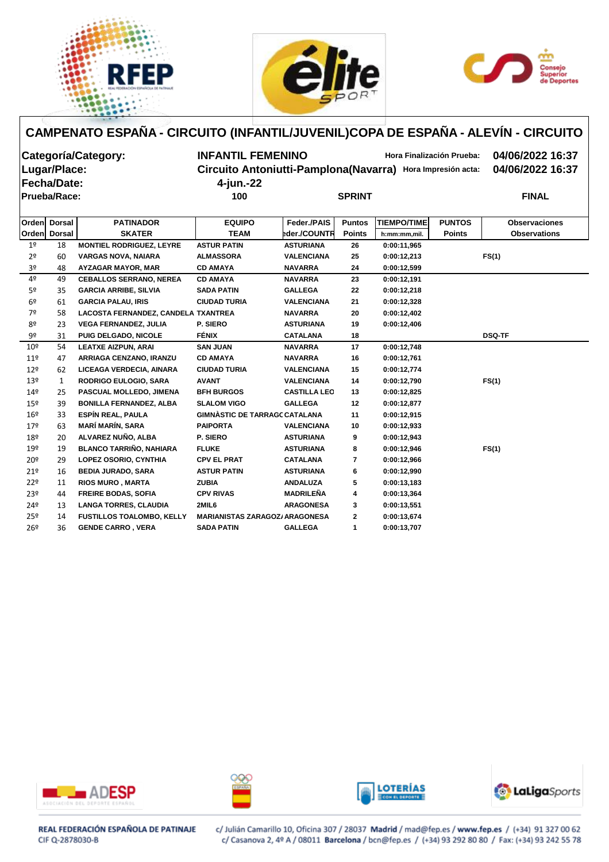





| Categoría/Category: | <b>INFANTIL FEMENINO</b> | Hora Finalización Prueba:                                  | 04/06/2022 16:37 |
|---------------------|--------------------------|------------------------------------------------------------|------------------|
| Lugar/Place:        |                          | Circuito Antoniutti-Pamplona(Navarra) Hora Impresión acta: | 04/06/2022 16:37 |
| Fecha/Date:         | 4-jun.-22                |                                                            |                  |
| <b>Prueba/Race:</b> | 100                      | <b>SPRINT</b>                                              | <b>FINAL</b>     |
|                     |                          |                                                            |                  |
|                     |                          |                                                            |                  |

|                 | Orden Dorsal | <b>PATINADOR</b>                    | <b>EQUIPO</b>                         | Feder./PAIS         | <b>Puntos</b> | <b>TIEMPO/TIME</b> | <b>PUNTOS</b> | <b>Observaciones</b> |
|-----------------|--------------|-------------------------------------|---------------------------------------|---------------------|---------------|--------------------|---------------|----------------------|
|                 | Orden Dorsal | <b>SKATER</b>                       | <b>TEAM</b>                           | eder./COUNTR        | <b>Points</b> | h:mm:mm,mil.       | <b>Points</b> | <b>Observations</b>  |
| 1 <sup>°</sup>  | 18           | <b>MONTIEL RODRIGUEZ, LEYRE</b>     | <b>ASTUR PATIN</b>                    | <b>ASTURIANA</b>    | 26            | 0:00:11.965        |               |                      |
| 2 <sup>o</sup>  | 60           | <b>VARGAS NOVA, NAIARA</b>          | <b>ALMASSORA</b>                      | <b>VALENCIANA</b>   | 25            | 0:00:12,213        |               | FS(1)                |
| 3º              | 48           | AYZAGAR MAYOR, MAR                  | <b>CD AMAYA</b>                       | <b>NAVARRA</b>      | 24            | 0:00:12,599        |               |                      |
| 4º              | 49           | <b>CEBALLOS SERRANO, NEREA</b>      | <b>CD AMAYA</b>                       | <b>NAVARRA</b>      | 23            | 0:00:12,191        |               |                      |
| 5 <sup>o</sup>  | 35           | <b>GARCIA ARRIBE, SILVIA</b>        | <b>SADA PATIN</b>                     | <b>GALLEGA</b>      | 22            | 0:00:12,218        |               |                      |
| 6 <sup>9</sup>  | 61           | <b>GARCIA PALAU, IRIS</b>           | <b>CIUDAD TURIA</b>                   | <b>VALENCIANA</b>   | 21            | 0:00:12,328        |               |                      |
| 7º              | 58           | LACOSTA FERNANDEZ, CANDELA TXANTREA |                                       | <b>NAVARRA</b>      | 20            | 0:00:12,402        |               |                      |
| 8º              | 23           | <b>VEGA FERNANDEZ, JULIA</b>        | P. SIERO                              | <b>ASTURIANA</b>    | 19            | 0:00:12,406        |               |                      |
| 9º              | 31           | <b>PUIG DELGADO, NICOLE</b>         | <b>FÉNIX</b>                          | <b>CATALANA</b>     | 18            |                    |               | <b>DSQ-TF</b>        |
| 10 <sup>°</sup> | 54           | <b>LEATXE AIZPUN, ARAI</b>          | <b>SAN JUAN</b>                       | <b>NAVARRA</b>      | 17            | 0:00:12,748        |               |                      |
| 11 <sup>°</sup> | 47           | ARRIAGA CENZANO, IRANZU             | <b>CD AMAYA</b>                       | <b>NAVARRA</b>      | 16            | 0:00:12,761        |               |                      |
| 12 <sup>°</sup> | 62           | LICEAGA VERDECIA, AINARA            | <b>CIUDAD TURIA</b>                   | <b>VALENCIANA</b>   | 15            | 0:00:12,774        |               |                      |
| 13 <sup>°</sup> | 1            | <b>RODRIGO EULOGIO, SARA</b>        | <b>AVANT</b>                          | <b>VALENCIANA</b>   | 14            | 0:00:12,790        |               | FS(1)                |
| 14 <sup>°</sup> | 25           | PASCUAL MOLLEDO, JIMENA             | <b>BFH BURGOS</b>                     | <b>CASTILLA LEO</b> | 13            | 0:00:12,825        |               |                      |
| $15^{\circ}$    | 39           | <b>BONILLA FERNANDEZ, ALBA</b>      | <b>SLALOM VIGO</b>                    | <b>GALLEGA</b>      | 12            | 0:00:12,877        |               |                      |
| 16 <sup>°</sup> | 33           | ESPÍN REAL, PAULA                   | <b>GIMNÀSTIC DE TARRAGC CATALANA</b>  |                     | 11            | 0:00:12,915        |               |                      |
| 179             | 63           | <b>MARÍ MARÍN, SARA</b>             | <b>PAIPORTA</b>                       | <b>VALENCIANA</b>   | 10            | 0:00:12,933        |               |                      |
| 18º             | 20           | ALVAREZ NUÑO, ALBA                  | P. SIERO                              | <b>ASTURIANA</b>    | 9             | 0:00:12,943        |               |                      |
| 19º             | 19           | <b>BLANCO TARRIÑO, NAHIARA</b>      | <b>FLUKE</b>                          | <b>ASTURIANA</b>    | 8             | 0:00:12,946        |               | FS(1)                |
| 20 <sup>°</sup> | 29           | <b>LOPEZ OSORIO, CYNTHIA</b>        | <b>CPV EL PRAT</b>                    | <b>CATALANA</b>     | 7             | 0:00:12,966        |               |                      |
| 21°             | 16           | <b>BEDIA JURADO, SARA</b>           | <b>ASTUR PATIN</b>                    | <b>ASTURIANA</b>    | 6             | 0:00:12,990        |               |                      |
| 22 <sup>°</sup> | 11           | <b>RIOS MURO, MARTA</b>             | <b>ZUBIA</b>                          | <b>ANDALUZA</b>     | 5             | 0:00:13,183        |               |                      |
| 23º             | 44           | <b>FREIRE BODAS, SOFIA</b>          | <b>CPV RIVAS</b>                      | <b>MADRILEÑA</b>    | 4             | 0:00:13,364        |               |                      |
| 24º             | 13           | <b>LANGA TORRES, CLAUDIA</b>        | 2MIL6                                 | <b>ARAGONESA</b>    | 3             | 0:00:13,551        |               |                      |
| 25º             | 14           | <b>FUSTILLOS TOALOMBO, KELLY</b>    | <b>MARIANISTAS ZARAGOZ/ ARAGONESA</b> |                     | $\mathbf{2}$  | 0:00:13,674        |               |                      |
| 26 <sup>°</sup> | 36           | <b>GENDE CARRO, VERA</b>            | <b>SADA PATIN</b>                     | <b>GALLEGA</b>      | 1             | 0:00:13,707        |               |                      |
|                 |              |                                     |                                       |                     |               |                    |               |                      |









REAL FEDERACIÓN ESPAÑOLA DE PATINAJE CIF Q-2878030-B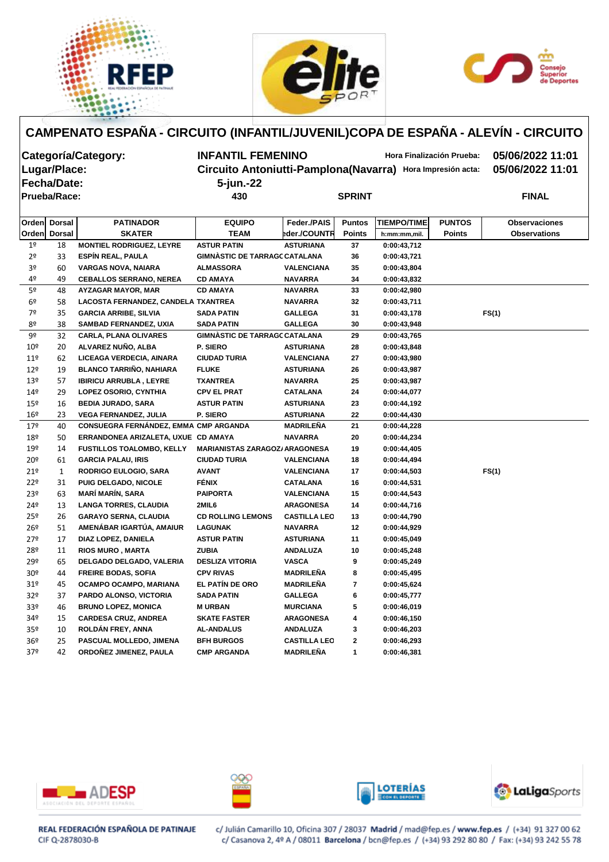





| Categoría/Category: |                     |                                       |                                                            | <b>INFANTIL FEMENINO</b><br>Hora Finalización Prueba: |               |                    |               |                      |  |  |
|---------------------|---------------------|---------------------------------------|------------------------------------------------------------|-------------------------------------------------------|---------------|--------------------|---------------|----------------------|--|--|
|                     | Lugar/Place:        |                                       | Circuito Antoniutti-Pamplona(Navarra) Hora Impresión acta: |                                                       |               |                    |               | 05/06/2022 11:01     |  |  |
|                     | <b>Fecha/Date:</b>  |                                       | 5-jun.-22                                                  |                                                       |               |                    |               |                      |  |  |
|                     | <b>Prueba/Race:</b> |                                       | 430                                                        |                                                       | <b>SPRINT</b> |                    |               | <b>FINAL</b>         |  |  |
|                     |                     |                                       |                                                            |                                                       |               |                    |               |                      |  |  |
|                     | Orden Dorsal        | <b>PATINADOR</b>                      | <b>EQUIPO</b>                                              | Feder./PAIS                                           | <b>Puntos</b> | <b>TIEMPO/TIME</b> | <b>PUNTOS</b> | <b>Observaciones</b> |  |  |
| Orden               | <b>Dorsal</b>       | <b>SKATER</b>                         | <b>TEAM</b>                                                | eder./COUNTR                                          | <b>Points</b> | h:mm:mm,mil.       | <b>Points</b> | <b>Observations</b>  |  |  |
| 1 <sup>°</sup>      | 18                  | <b>MONTIEL RODRIGUEZ, LEYRE</b>       | <b>ASTUR PATIN</b>                                         | <b>ASTURIANA</b>                                      | 37            | 0:00:43,712        |               |                      |  |  |
| 2 <sup>o</sup>      | 33                  | <b>ESPÍN REAL, PAULA</b>              | <b>GIMNÀSTIC DE TARRAGC CATALANA</b>                       |                                                       | 36            | 0:00:43,721        |               |                      |  |  |
| 3º                  | 60                  | <b>VARGAS NOVA, NAIARA</b>            | <b>ALMASSORA</b>                                           | <b>VALENCIANA</b>                                     | 35            | 0:00:43,804        |               |                      |  |  |
| 4º                  | 49                  | <b>CEBALLOS SERRANO, NEREA</b>        | <b>CD AMAYA</b>                                            | <b>NAVARRA</b>                                        | 34            | 0:00:43,832        |               |                      |  |  |
| 5 <sup>o</sup>      | 48                  | <b>AYZAGAR MAYOR, MAR</b>             | <b>CD AMAYA</b>                                            | <b>NAVARRA</b>                                        | 33            | 0:00:42,980        |               |                      |  |  |
| 6 <sup>o</sup>      | 58                  | LACOSTA FERNANDEZ, CANDELA TXANTREA   |                                                            | <b>NAVARRA</b>                                        | 32            | 0:00:43,711        |               |                      |  |  |
| 7º                  | 35                  | <b>GARCIA ARRIBE, SILVIA</b>          | <b>SADA PATIN</b>                                          | <b>GALLEGA</b>                                        | 31            | 0:00:43,178        |               | FS(1)                |  |  |
| 8º                  | 38                  | <b>SAMBAD FERNANDEZ, UXIA</b>         | <b>SADA PATIN</b>                                          | <b>GALLEGA</b>                                        | 30            | 0:00:43,948        |               |                      |  |  |
| 9º                  | 32                  | <b>CARLA, PLANA OLIVARES</b>          | <b>GIMNÀSTIC DE TARRAGC CATALANA</b>                       |                                                       | 29            | 0:00:43,765        |               |                      |  |  |
| 10 <sup>°</sup>     | 20                  | ALVAREZ NUÑO, ALBA                    | P. SIERO                                                   | <b>ASTURIANA</b>                                      | 28            | 0:00:43,848        |               |                      |  |  |
| 11 <sup>°</sup>     | 62                  | LICEAGA VERDECIA, AINARA              | <b>CIUDAD TURIA</b>                                        | <b>VALENCIANA</b>                                     | 27            | 0:00:43,980        |               |                      |  |  |
| 12 <sup>°</sup>     | 19                  | <b>BLANCO TARRIÑO, NAHIARA</b>        | <b>FLUKE</b>                                               | <b>ASTURIANA</b>                                      | 26            | 0:00:43,987        |               |                      |  |  |
| 13 <sup>°</sup>     | 57                  | <b>IBIRICU ARRUBLA, LEYRE</b>         | <b>TXANTREA</b>                                            | <b>NAVARRA</b>                                        | 25            | 0:00:43,987        |               |                      |  |  |
| 149                 | 29                  | LOPEZ OSORIO, CYNTHIA                 | <b>CPV EL PRAT</b>                                         | <b>CATALANA</b>                                       | 24            | 0:00:44,077        |               |                      |  |  |
| 15º                 | 16                  | <b>BEDIA JURADO, SARA</b>             | <b>ASTUR PATIN</b>                                         | <b>ASTURIANA</b>                                      | 23            | 0:00:44,192        |               |                      |  |  |
| 16 <sup>°</sup>     | 23                  | <b>VEGA FERNANDEZ, JULIA</b>          | P. SIERO                                                   | <b>ASTURIANA</b>                                      | 22            | 0:00:44,430        |               |                      |  |  |
| 179                 | 40                  | CONSUEGRA FERNÁNDEZ, EMMA CMP ARGANDA |                                                            | <b>MADRILEÑA</b>                                      | 21            | 0:00:44,228        |               |                      |  |  |
| 18º                 | 50                  | ERRANDONEA ARIZALETA, UXUE CD AMAYA   |                                                            | <b>NAVARRA</b>                                        | 20            | 0:00:44,234        |               |                      |  |  |
| 19º                 | 14                  | <b>FUSTILLOS TOALOMBO, KELLY</b>      | <b>MARIANISTAS ZARAGOZ/ ARAGONESA</b>                      |                                                       | 19            | 0:00:44,405        |               |                      |  |  |
| 20º                 | 61                  | <b>GARCIA PALAU, IRIS</b>             | <b>CIUDAD TURIA</b>                                        | <b>VALENCIANA</b>                                     | 18            | 0:00:44,494        |               |                      |  |  |
| 21°                 | 1                   | <b>RODRIGO EULOGIO, SARA</b>          | <b>AVANT</b>                                               | <b>VALENCIANA</b>                                     | 17            | 0:00:44,503        |               | FS(1)                |  |  |
| 22º                 | 31                  | PUIG DELGADO, NICOLE                  | <b>FÉNIX</b>                                               | <b>CATALANA</b>                                       | 16            | 0:00:44,531        |               |                      |  |  |
| 23º                 | 63                  | <b>MARÍ MARÍN, SARA</b>               | <b>PAIPORTA</b>                                            | <b>VALENCIANA</b>                                     | 15            | 0:00:44,543        |               |                      |  |  |
| 24º                 | 13                  | <b>LANGA TORRES, CLAUDIA</b>          | 2MIL6                                                      | <b>ARAGONESA</b>                                      | 14            | 0:00:44,716        |               |                      |  |  |
| 25 <sup>°</sup>     | 26                  | <b>GARAYO SERNA, CLAUDIA</b>          | <b>CD ROLLING LEMONS</b>                                   | <b>CASTILLA LEO</b>                                   | 13            | 0:00:44,790        |               |                      |  |  |
| 26 <sup>°</sup>     | 51                  | AMENÁBAR IGARTÚA, AMAIUR              | <b>LAGUNAK</b>                                             | <b>NAVARRA</b>                                        | 12            | 0:00:44,929        |               |                      |  |  |
| 27°                 | 17                  | DIAZ LOPEZ, DANIELA                   | <b>ASTUR PATIN</b>                                         | <b>ASTURIANA</b>                                      | 11            | 0:00:45,049        |               |                      |  |  |
| 28º                 | 11                  | <b>RIOS MURO, MARTA</b>               | <b>ZUBIA</b>                                               | <b>ANDALUZA</b>                                       | 10            | 0:00:45,248        |               |                      |  |  |
| 29º                 | 65                  | DELGADO DELGADO, VALERIA              | <b>DESLIZA VITORIA</b>                                     | <b>VASCA</b>                                          | 9             | 0:00:45,249        |               |                      |  |  |
| 30 <sup>o</sup>     | 44                  | <b>FREIRE BODAS, SOFIA</b>            | <b>CPV RIVAS</b>                                           | MADRILEÑA                                             | 8             | 0:00:45,495        |               |                      |  |  |
| 31 <sup>o</sup>     | 45                  | OCAMPO OCAMPO, MARIANA                | EL PATÍN DE ORO                                            | <b>MADRILEÑA</b>                                      | 7             | 0:00:45,624        |               |                      |  |  |
| 32 <sup>o</sup>     | 37                  | PARDO ALONSO, VICTORIA                | <b>SADA PATIN</b>                                          | <b>GALLEGA</b>                                        | 6             | 0:00:45,777        |               |                      |  |  |
| 33 <sup>o</sup>     | 46                  | <b>BRUNO LOPEZ, MONICA</b>            | <b>M URBAN</b>                                             | <b>MURCIANA</b>                                       | 5             | 0:00:46,019        |               |                      |  |  |
| 34º                 | 15                  | <b>CARDESA CRUZ, ANDREA</b>           | <b>SKATE FASTER</b>                                        | <b>ARAGONESA</b>                                      | 4             | 0:00:46,150        |               |                      |  |  |
| 35 <sup>o</sup>     | 10                  | ROLDÁN FREY, ANNA                     | <b>AL-ANDALUS</b>                                          | <b>ANDALUZA</b>                                       | 3             | 0:00:46,203        |               |                      |  |  |
| 36 <sup>°</sup>     | 25                  | PASCUAL MOLLEDO, JIMENA               | <b>BFH BURGOS</b>                                          | <b>CASTILLA LEO</b>                                   | $\mathbf{2}$  | 0:00:46,293        |               |                      |  |  |
| 37 <sup>°</sup>     | 42                  | ORDOÑEZ JIMENEZ, PAULA                | <b>CMP ARGANDA</b>                                         | <b>MADRILEÑA</b>                                      | 1             | 0:00:46,381        |               |                      |  |  |









REAL FEDERACIÓN ESPAÑOLA DE PATINAJE CIF Q-2878030-B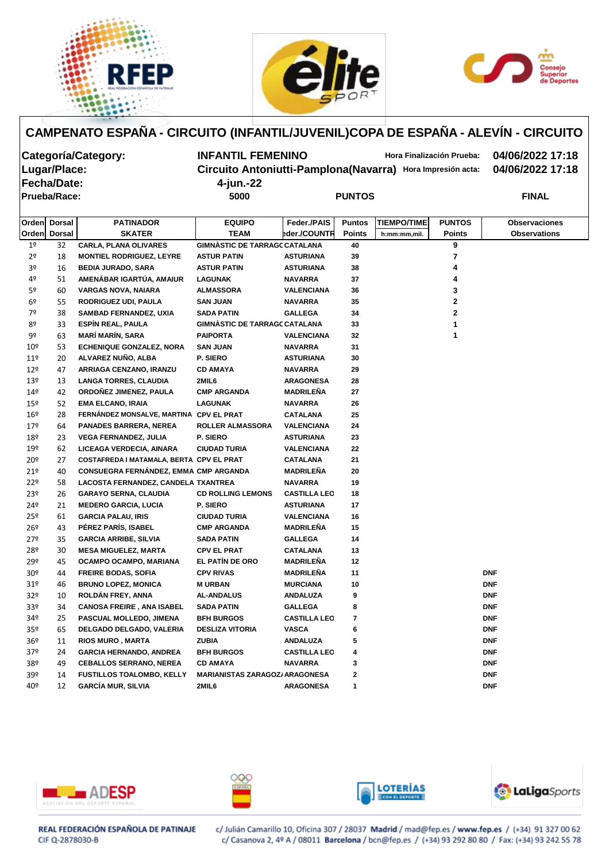





| Categoría/Category: | <b>INFANTIL FEMENINO</b> | Hora Finalización Prueba:                                  | 04/06/2022   |
|---------------------|--------------------------|------------------------------------------------------------|--------------|
| Lugar/Place:        |                          | Circuito Antoniutti-Pamplona(Navarra) Hora Impresión acta: | 04/06/2022   |
| Fecha/Date:         | 4-jun.-22                |                                                            |              |
| Prueba/Race:        | 5000                     | <b>PUNTOS</b>                                              | <b>FINAL</b> |

**Categoría/Category: INFANTIL FEMENINO Hora Finalización Prueba: 04/06/2022 17:18 Lugar/Place: Circuito Antoniutti-Pamplona(Navarra) Hora Impresión acta: 04/06/2022 17:18 Fecha/Date: 4-jun.-22**

|                 | Orden Dorsal | <b>PATINADOR</b>                             | <b>EQUIPO</b>                         | Feder./PAIS         | <b>Puntos</b> | <b>TIEMPO/TIME</b> | <b>PUNTOS</b> | <b>Observaciones</b> |
|-----------------|--------------|----------------------------------------------|---------------------------------------|---------------------|---------------|--------------------|---------------|----------------------|
|                 | Orden Dorsal | <b>SKATER</b>                                | <b>TEAM</b>                           | eder./COUNTR        | <b>Points</b> | h:mm:mm,mil.       | <b>Points</b> | <b>Observations</b>  |
| 1 <sup>°</sup>  | 32           | <b>CARLA, PLANA OLIVARES</b>                 | <b>GIMNÀSTIC DE TARRAGC CATALANA</b>  |                     | 40            |                    | 9             |                      |
| 2 <sup>o</sup>  | 18           | <b>MONTIEL RODRIGUEZ, LEYRE</b>              | <b>ASTUR PATIN</b>                    | <b>ASTURIANA</b>    | 39            |                    | 7             |                      |
| 3 <sup>o</sup>  | 16           | <b>BEDIA JURADO, SARA</b>                    | <b>ASTUR PATIN</b>                    | <b>ASTURIANA</b>    | 38            |                    | 4             |                      |
| 4º              | 51           | AMENÁBAR IGARTÚA, AMAIUR                     | <b>LAGUNAK</b>                        | <b>NAVARRA</b>      | 37            |                    | 4             |                      |
| 5º              | 60           | <b>VARGAS NOVA, NAIARA</b>                   | <b>ALMASSORA</b>                      | <b>VALENCIANA</b>   | 36            |                    | 3             |                      |
| 6 <sup>o</sup>  | 55           | RODRIGUEZ UDI, PAULA                         | <b>SAN JUAN</b>                       | <b>NAVARRA</b>      | 35            |                    | 2             |                      |
| 7º              | 38           | <b>SAMBAD FERNANDEZ, UXIA</b>                | <b>SADA PATIN</b>                     | <b>GALLEGA</b>      | 34            |                    | 2             |                      |
| 8º              | 33           | <b>ESPÍN REAL, PAULA</b>                     | <b>GIMNASTIC DE TARRAGC CATALANA</b>  |                     | 33            |                    |               |                      |
| 9º              | 63           | <b>MARÍ MARÍN, SARA</b>                      | <b>PAIPORTA</b>                       | <b>VALENCIANA</b>   | 32            |                    | 1             |                      |
| 10 <sup>°</sup> | 53           | <b>ECHENIQUE GONZALEZ, NORA</b>              | <b>SAN JUAN</b>                       | <b>NAVARRA</b>      | 31            |                    |               |                      |
| $11^{\circ}$    | 20           | ALVAREZ NUÑO, ALBA                           | P. SIERO                              | <b>ASTURIANA</b>    | 30            |                    |               |                      |
| 12 <sup>°</sup> | 47           | ARRIAGA CENZANO, IRANZU                      | <b>CD AMAYA</b>                       | <b>NAVARRA</b>      | 29            |                    |               |                      |
| $13^{\circ}$    | 13           | <b>LANGA TORRES, CLAUDIA</b>                 | 2MIL6                                 | <b>ARAGONESA</b>    | 28            |                    |               |                      |
| $14^{\circ}$    | 42           | ORDOÑEZ JIMENEZ, PAULA                       | <b>CMP ARGANDA</b>                    | <b>MADRILEÑA</b>    | 27            |                    |               |                      |
| $15^{\circ}$    | 52           | <b>EMA ELCANO, IRAIA</b>                     | <b>LAGUNAK</b>                        | <b>NAVARRA</b>      | 26            |                    |               |                      |
| $16^{\circ}$    | 28           | FERNÁNDEZ MONSALVE, MARTINA CPV EL PRAT      |                                       | <b>CATALANA</b>     | 25            |                    |               |                      |
| $17^{\circ}$    | 64           | <b>PANADES BARRERA, NEREA</b>                | <b>ROLLER ALMASSORA</b>               | <b>VALENCIANA</b>   | 24            |                    |               |                      |
| 18º             | 23           | <b>VEGA FERNANDEZ, JULIA</b>                 | P. SIERO                              | <b>ASTURIANA</b>    | 23            |                    |               |                      |
| $19^{\circ}$    | 62           | LICEAGA VERDECIA, AINARA                     | <b>CIUDAD TURIA</b>                   | <b>VALENCIANA</b>   | 22            |                    |               |                      |
| 20 <sup>°</sup> | 27           | COSTAFREDA I MATAMALA, BERTA CPV EL PRAT     |                                       | <b>CATALANA</b>     | 21            |                    |               |                      |
| 21°             | 40           | <b>CONSUEGRA FERNÁNDEZ, EMMA CMP ARGANDA</b> |                                       | <b>MADRILEÑA</b>    | 20            |                    |               |                      |
| 22 <sup>°</sup> | 58           | LACOSTA FERNANDEZ, CANDELA TXANTREA          |                                       | <b>NAVARRA</b>      | 19            |                    |               |                      |
| 23 <sup>°</sup> | 26           | <b>GARAYO SERNA, CLAUDIA</b>                 | <b>CD ROLLING LEMONS</b>              | <b>CASTILLA LEO</b> | 18            |                    |               |                      |
| 24º             | 21           | <b>MEDERO GARCIA, LUCIA</b>                  | P. SIERO                              | <b>ASTURIANA</b>    | 17            |                    |               |                      |
| $25^{\circ}$    | 61           | <b>GARCIA PALAU, IRIS</b>                    | <b>CIUDAD TURIA</b>                   | <b>VALENCIANA</b>   | 16            |                    |               |                      |
| $26^{\circ}$    | 43           | PÉREZ PARÍS, ISABEL                          | <b>CMP ARGANDA</b>                    | <b>MADRILEÑA</b>    | 15            |                    |               |                      |
| 279             | 35           | <b>GARCIA ARRIBE, SILVIA</b>                 | <b>SADA PATIN</b>                     | <b>GALLEGA</b>      | 14            |                    |               |                      |
| 28º             | 30           | <b>MESA MIGUELEZ, MARTA</b>                  | <b>CPV EL PRAT</b>                    | <b>CATALANA</b>     | 13            |                    |               |                      |
| 29º             | 45           | OCAMPO OCAMPO, MARIANA                       | <b>EL PATÍN DE ORO</b>                | MADRILEÑA           | 12            |                    |               |                      |
| 30 <sup>°</sup> | 44           | <b>FREIRE BODAS, SOFIA</b>                   | <b>CPV RIVAS</b>                      | <b>MADRILEÑA</b>    | 11            |                    |               | <b>DNF</b>           |
| 31 <sup>°</sup> | 46           | <b>BRUNO LOPEZ, MONICA</b>                   | <b>M URBAN</b>                        | <b>MURCIANA</b>     | 10            |                    |               | <b>DNF</b>           |
| 32 <sup>o</sup> | 10           | ROLDÁN FREY, ANNA                            | <b>AL-ANDALUS</b>                     | <b>ANDALUZA</b>     | 9             |                    |               | <b>DNF</b>           |
| 33 <sup>o</sup> | 34           | <b>CANOSA FREIRE, ANA ISABEL</b>             | <b>SADA PATIN</b>                     | <b>GALLEGA</b>      | 8             |                    |               | <b>DNF</b>           |
| 34º             | 25           | PASCUAL MOLLEDO, JIMENA                      | <b>BFH BURGOS</b>                     | <b>CASTILLA LEO</b> | 7             |                    |               | <b>DNF</b>           |
| 35 <sup>o</sup> | 65           | DELGADO DELGADO, VALERIA                     | <b>DESLIZA VITORIA</b>                | <b>VASCA</b>        | 6             |                    |               | <b>DNF</b>           |
| 36 <sup>°</sup> | 11           | <b>RIOS MURO, MARTA</b>                      | <b>ZUBIA</b>                          | <b>ANDALUZA</b>     | 5             |                    |               | <b>DNF</b>           |
| 37 <sup>o</sup> | 24           | <b>GARCIA HERNANDO, ANDREA</b>               | <b>BFH BURGOS</b>                     | <b>CASTILLA LEO</b> | 4             |                    |               | <b>DNF</b>           |
| 38º             | 49           | <b>CEBALLOS SERRANO, NEREA</b>               | <b>CD AMAYA</b>                       | <b>NAVARRA</b>      | 3             |                    |               | <b>DNF</b>           |
| 39º             | 14           | FUSTILLOS TOALOMBO, KELLY                    | <b>MARIANISTAS ZARAGOZ/ ARAGONESA</b> |                     | $\mathbf{2}$  |                    |               | <b>DNF</b>           |
| 40º             | 12           | <b>GARCÍA MUR, SILVIA</b>                    | 2MIL6                                 | <b>ARAGONESA</b>    | 1             |                    |               | <b>DNF</b>           |









REAL FEDERACIÓN ESPAÑOLA DE PATINAJE CIF Q-2878030-B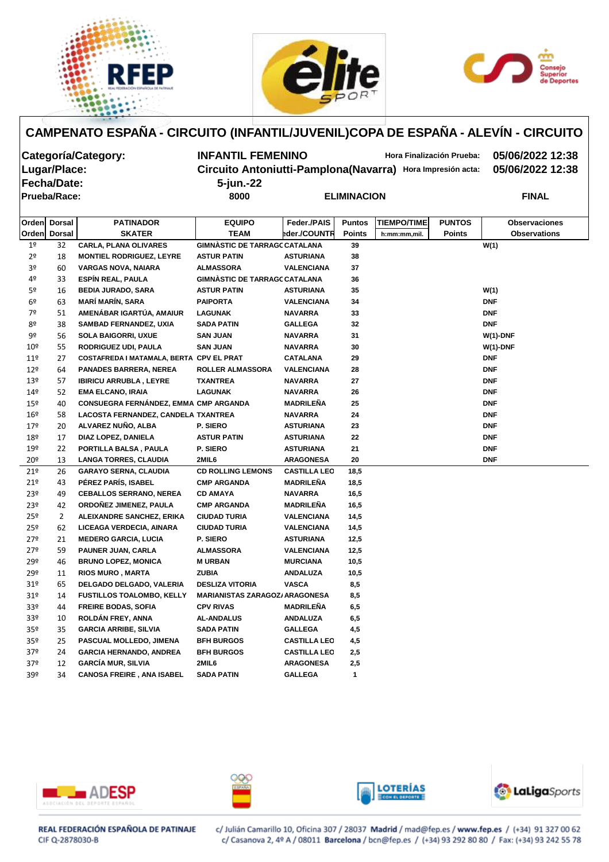





**Fecha/Date: 5-jun.-22**

**Categoría/Category: INFANTIL FEMENINO Hora Finalización Prueba: 05/06/2022 12:38 Lugar/Place: Circuito Antoniutti-Pamplona(Navarra) Hora Impresión acta: 05/06/2022 12:38**

**Prueba/Race: 8000 ELIMINACION FINAL**

|                 | Orden Dorsal  | <b>PATINADOR</b>                         | <b>EQUIPO</b>                         | Feder./PAIS         | <b>Puntos</b> | <b>TIEMPO/TIME</b> | <b>PUNTOS</b> | <b>Observaciones</b> |  |  |  |  |
|-----------------|---------------|------------------------------------------|---------------------------------------|---------------------|---------------|--------------------|---------------|----------------------|--|--|--|--|
| Orden           | <b>Dorsal</b> | <b>SKATER</b>                            | <b>TEAM</b>                           | eder./COUNTR        | <b>Points</b> | h:mm:mm,mil.       | <b>Points</b> | <b>Observations</b>  |  |  |  |  |
| 1 <sup>o</sup>  | 32            | <b>CARLA, PLANA OLIVARES</b>             | <b>GIMNÀSTIC DE TARRAGC CATALANA</b>  |                     | 39            |                    |               | W(1)                 |  |  |  |  |
| 2 <sup>o</sup>  | 18            | <b>MONTIEL RODRIGUEZ, LEYRE</b>          | <b>ASTUR PATIN</b>                    | <b>ASTURIANA</b>    | 38            |                    |               |                      |  |  |  |  |
| 3 <sup>o</sup>  | 60            | <b>VARGAS NOVA, NAIARA</b>               | <b>ALMASSORA</b>                      | <b>VALENCIANA</b>   | 37            |                    |               |                      |  |  |  |  |
| 4º              | 33            | <b>ESPÍN REAL, PAULA</b>                 | <b>GIMNÀSTIC DE TARRAGC CATALANA</b>  |                     | 36            |                    |               |                      |  |  |  |  |
| 5º              | 16            | <b>BEDIA JURADO, SARA</b>                | <b>ASTUR PATIN</b>                    | <b>ASTURIANA</b>    | 35            |                    |               | W(1)                 |  |  |  |  |
| 6 <sup>o</sup>  | 63            | <b>MARÍ MARÍN, SARA</b>                  | <b>PAIPORTA</b>                       | <b>VALENCIANA</b>   | 34            |                    |               | <b>DNF</b>           |  |  |  |  |
| 7º              | 51            | AMENÁBAR IGARTÚA, AMAIUR                 | <b>LAGUNAK</b>                        | <b>NAVARRA</b>      | 33            |                    |               | <b>DNF</b>           |  |  |  |  |
| 8º              | 38            | <b>SAMBAD FERNANDEZ, UXIA</b>            | <b>SADA PATIN</b>                     | <b>GALLEGA</b>      | 32            |                    |               | <b>DNF</b>           |  |  |  |  |
| 9º              | 56            | <b>SOLA BAIGORRI, UXUE</b>               | <b>SAN JUAN</b>                       | <b>NAVARRA</b>      | 31            |                    |               | $W(1)$ -DNF          |  |  |  |  |
| 10 <sup>°</sup> | 55            | RODRIGUEZ UDI, PAULA                     | <b>SAN JUAN</b>                       | <b>NAVARRA</b>      | 30            |                    |               | $W(1)$ -DNF          |  |  |  |  |
| 11 <sup>°</sup> | 27            | COSTAFREDA I MATAMALA, BERTA CPV EL PRAT |                                       | <b>CATALANA</b>     | 29            |                    |               | <b>DNF</b>           |  |  |  |  |
| $12^{\circ}$    | 64            | <b>PANADES BARRERA, NEREA</b>            | <b>ROLLER ALMASSORA</b>               | <b>VALENCIANA</b>   | 28            |                    |               | <b>DNF</b>           |  |  |  |  |
| 13º             | 57            | <b>IBIRICU ARRUBLA, LEYRE</b>            | <b>TXANTREA</b>                       | <b>NAVARRA</b>      | 27            |                    |               | <b>DNF</b>           |  |  |  |  |
| 149             | 52            | <b>EMA ELCANO, IRAIA</b>                 | <b>LAGUNAK</b>                        | <b>NAVARRA</b>      | 26            |                    |               | <b>DNF</b>           |  |  |  |  |
| 15 <sup>°</sup> | 40            | CONSUEGRA FERNÁNDEZ, EMMA CMP ARGANDA    |                                       | <b>MADRILEÑA</b>    | 25            |                    |               | <b>DNF</b>           |  |  |  |  |
| 16 <sup>°</sup> | 58            | LACOSTA FERNANDEZ, CANDELA TXANTREA      |                                       | <b>NAVARRA</b>      | 24            |                    |               | <b>DNF</b>           |  |  |  |  |
| 179             | 20            | ALVAREZ NUÑO, ALBA                       | P. SIERO                              | <b>ASTURIANA</b>    | 23            |                    |               | <b>DNF</b>           |  |  |  |  |
| 18º             | 17            | DIAZ LOPEZ, DANIELA                      | <b>ASTUR PATIN</b>                    | <b>ASTURIANA</b>    | 22            |                    |               | <b>DNF</b>           |  |  |  |  |
| $19^{\circ}$    | 22            | PORTILLA BALSA, PAULA                    | P. SIERO                              | <b>ASTURIANA</b>    | 21            |                    |               | <b>DNF</b>           |  |  |  |  |
| $20^{\circ}$    | 13            | <b>LANGA TORRES, CLAUDIA</b>             | 2MIL6                                 | <b>ARAGONESA</b>    | 20            |                    |               | <b>DNF</b>           |  |  |  |  |
| 21 <sup>°</sup> | 26            | <b>GARAYO SERNA, CLAUDIA</b>             | <b>CD ROLLING LEMONS</b>              | <b>CASTILLA LEO</b> | 18,5          |                    |               |                      |  |  |  |  |
| 21°             | 43            | PÉREZ PARÍS, ISABEL                      | <b>CMP ARGANDA</b>                    | <b>MADRILEÑA</b>    | 18,5          |                    |               |                      |  |  |  |  |
| 23º             | 49            | <b>CEBALLOS SERRANO, NEREA</b>           | <b>CD AMAYA</b>                       | <b>NAVARRA</b>      | 16,5          |                    |               |                      |  |  |  |  |
| 23º             | 42            | ORDOÑEZ JIMENEZ, PAULA                   | <b>CMP ARGANDA</b>                    | <b>MADRILEÑA</b>    | 16,5          |                    |               |                      |  |  |  |  |
| 25º             | 2             | ALEIXANDRE SANCHEZ, ERIKA                | <b>CIUDAD TURIA</b>                   | <b>VALENCIANA</b>   | 14,5          |                    |               |                      |  |  |  |  |
| 25º             | 62            | LICEAGA VERDECIA, AINARA                 | <b>CIUDAD TURIA</b>                   | <b>VALENCIANA</b>   | 14,5          |                    |               |                      |  |  |  |  |
| 279             | 21            | <b>MEDERO GARCIA, LUCIA</b>              | P. SIERO                              | <b>ASTURIANA</b>    | 12,5          |                    |               |                      |  |  |  |  |
| 27º             | 59            | PAUNER JUAN, CARLA                       | <b>ALMASSORA</b>                      | <b>VALENCIANA</b>   | 12,5          |                    |               |                      |  |  |  |  |
| 29º             | 46            | <b>BRUNO LOPEZ, MONICA</b>               | <b>M URBAN</b>                        | <b>MURCIANA</b>     | 10,5          |                    |               |                      |  |  |  |  |
| 29º             | 11            | <b>RIOS MURO, MARTA</b>                  | <b>ZUBIA</b>                          | <b>ANDALUZA</b>     | 10,5          |                    |               |                      |  |  |  |  |
| 31 <sup>o</sup> | 65            | DELGADO DELGADO, VALERIA                 | <b>DESLIZA VITORIA</b>                | <b>VASCA</b>        | 8,5           |                    |               |                      |  |  |  |  |
| 31 <sup>°</sup> | 14            | <b>FUSTILLOS TOALOMBO, KELLY</b>         | <b>MARIANISTAS ZARAGOZ/ ARAGONESA</b> |                     | 8,5           |                    |               |                      |  |  |  |  |
| 33 <sup>°</sup> | 44            | <b>FREIRE BODAS, SOFIA</b>               | <b>CPV RIVAS</b>                      | <b>MADRILEÑA</b>    | 6,5           |                    |               |                      |  |  |  |  |
| 33 <sup>°</sup> | 10            | ROLDÁN FREY, ANNA                        | <b>AL-ANDALUS</b>                     | <b>ANDALUZA</b>     | 6,5           |                    |               |                      |  |  |  |  |
| 35º             | 35            | <b>GARCIA ARRIBE, SILVIA</b>             | SADA PATIN                            | <b>GALLEGA</b>      | 4,5           |                    |               |                      |  |  |  |  |
| 35º             | 25            | PASCUAL MOLLEDO, JIMENA                  | <b>BFH BURGOS</b>                     | <b>CASTILLA LEO</b> | 4,5           |                    |               |                      |  |  |  |  |
| 37 <sup>°</sup> | 24            | <b>GARCIA HERNANDO, ANDREA</b>           | <b>BFH BURGOS</b>                     | <b>CASTILLA LEO</b> | 2,5           |                    |               |                      |  |  |  |  |
| 37 <sup>°</sup> | 12            | <b>GARCÍA MUR, SILVIA</b>                | 2MIL6                                 | <b>ARAGONESA</b>    | 2,5           |                    |               |                      |  |  |  |  |
| 39º             | 34            | <b>CANOSA FREIRE, ANA ISABEL</b>         | <b>SADA PATIN</b>                     | <b>GALLEGA</b>      | 1             |                    |               |                      |  |  |  |  |









REAL FEDERACIÓN ESPAÑOLA DE PATINAJE CIF Q-2878030-B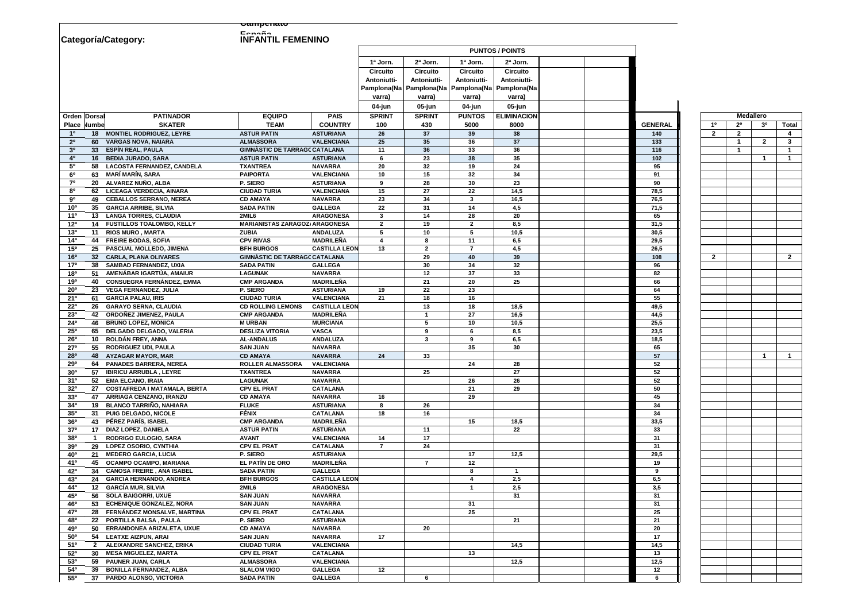|                                    |                                                            | <u>Gampenato</u>                               |                                          |                    |                            |                 |                                                       |                |                |                |                         |                |
|------------------------------------|------------------------------------------------------------|------------------------------------------------|------------------------------------------|--------------------|----------------------------|-----------------|-------------------------------------------------------|----------------|----------------|----------------|-------------------------|----------------|
| Categoría/Category:                |                                                            | E<br><b>INFANTIL FEMENINO</b>                  |                                          |                    |                            |                 |                                                       |                |                |                |                         |                |
|                                    |                                                            |                                                |                                          |                    |                            |                 | <b>PUNTOS / POINTS</b>                                |                |                |                |                         |                |
|                                    |                                                            |                                                |                                          | 1ª Jorn.           | 2ª Jorn.                   | 1ª Jorn.        | 2ª Jorn.                                              |                |                |                |                         |                |
|                                    |                                                            |                                                |                                          | <b>Circuito</b>    | <b>Circuito</b>            | <b>Circuito</b> | <b>Circuito</b>                                       |                |                |                |                         |                |
|                                    |                                                            |                                                |                                          | <b>Antoniutti-</b> | Antoniutti-                | Antoniutti-     | Antoniutti-                                           |                |                |                |                         |                |
|                                    |                                                            |                                                |                                          |                    |                            |                 | Pamplona(Na   Pamplona(Na   Pamplona(Na   Pamplona(Na |                |                |                |                         |                |
|                                    |                                                            |                                                |                                          | varra)             | varra)                     | varra)          | varra)                                                |                |                |                |                         |                |
|                                    |                                                            |                                                |                                          | 04-jun             | 05-jun                     | 04-jun          | $05$ -jun                                             |                |                |                |                         |                |
| <b>Orden Dorsal</b>                | <b>PATINADOR</b>                                           | <b>EQUIPO</b>                                  | <b>PAIS</b>                              | <b>SPRINT</b>      | <b>SPRINT</b>              | <b>PUNTOS</b>   | <b>ELIMINACION</b>                                    |                |                |                | <b>Medallero</b>        |                |
| <b>Place Numbe</b>                 | <b>SKATER</b>                                              | <b>TEAM</b>                                    | <b>COUNTRY</b>                           | 100                | 430                        | 5000            | 8000                                                  | <b>GENERAL</b> | $1^{\circ}$    | $2^{\circ}$    | 3 <sup>o</sup>          | <b>Tota</b>    |
| 1 <sup>0</sup><br>18               | <b>MONTIEL RODRIGUEZ, LEYRE</b>                            | <b>ASTUR PATIN</b>                             | <b>ASTURIANA</b>                         | 26                 | 37                         | 39              | 38                                                    | 140            | $\overline{2}$ | $\overline{2}$ |                         | $\overline{4}$ |
| $2^{\circ}$<br>60                  | <b>VARGAS NOVA, NAIARA</b>                                 | <b>ALMASSORA</b>                               | <b>VALENCIANA</b>                        | 25                 | 35                         | 36              | 37                                                    | 133            |                |                | $\overline{2}$          | $\mathbf{3}$   |
| 3 <sup>o</sup>                     | 33 ESPÍN REAL, PAULA                                       | <b>GIMNÀSTIC DE TARRAGC CATALANA</b>           |                                          | 11                 | 36                         | 33              | 36                                                    | 116            |                | -1             |                         | $\overline{1}$ |
| 4 <sup>0</sup>                     | 16 BEDIA JURADO, SARA                                      | <b>ASTUR PATIN</b>                             | <b>ASTURIANA</b>                         | 6                  | 23                         | 38              | 35                                                    | 102            |                |                | - 1                     | $\overline{1}$ |
| $5^{\circ}$                        | 58 LACOSTA FERNANDEZ, CANDELA                              | <b>TXANTREA</b>                                | <b>NAVARRA</b>                           | 20                 | 32                         | 19              | 24                                                    | 95             |                |                |                         |                |
| $6^{\rm o}$                        | 63 MARÍ MARÍN, SARA                                        | <b>PAIPORTA</b>                                | <b>VALENCIANA</b>                        | 10                 | 15                         | 32              | 34                                                    | 91             |                |                |                         |                |
| $7^\circ$<br>8 <sup>o</sup>        | 20 ALVAREZ NUÑO, ALBA<br>62 LICEAGA VERDECIA, AINARA       | P. SIERO<br><b>CIUDAD TURIA</b>                | <b>ASTURIANA</b><br><b>VALENCIANA</b>    | 9<br>15            | 28<br>27                   | 30              | 23<br>14,5                                            | 90<br>78,5     |                |                |                         |                |
| 90                                 | 49 CEBALLOS SERRANO, NEREA                                 | <b>CD AMAYA</b>                                | <b>NAVARRA</b>                           | 23                 | 34                         | 22<br>3         | 16,5                                                  | 76,5           |                |                |                         |                |
| 10 <sup>o</sup>                    | 35 GARCIA ARRIBE, SILVIA                                   | <b>SADA PATIN</b>                              | <b>GALLEGA</b>                           | 22                 | 31                         | 14              | 4,5                                                   | 71,5           |                |                |                         |                |
| 11 <sup>0</sup>                    | 13 LANGA TORRES, CLAUDIA                                   | 2MIL6                                          | <b>ARAGONESA</b>                         | $\mathbf{3}$       | 14                         | 28              | 20                                                    | 65             |                |                |                         |                |
| 12 <sup>0</sup>                    | 14 FUSTILLOS TOALOMBO, KELLY                               | <b>MARIANISTAS ZARAGOZ/ARAGONESA</b>           |                                          | $\mathbf{2}$       | 19                         | $\mathbf{2}$    | 8,5                                                   | 31,5           |                |                |                         |                |
| 13 <sup>0</sup><br>11              | <b>RIOS MURO, MARTA</b>                                    | <b>ZUBIA</b>                                   | <b>ANDALUZA</b>                          | 5                  | 10 <sub>1</sub>            | 5               | 10,5                                                  | 30,5           |                |                |                         |                |
| $14^{o}$<br>44                     | <b>FREIRE BODAS, SOFIA</b>                                 | <b>CPV RIVAS</b>                               | <b>MADRILEÑA</b>                         |                    | 8                          | 11              | 6,5                                                   | 29,5           |                |                |                         |                |
| 15 <sup>o</sup>                    | 25 PASCUAL MOLLEDO, JIMENA                                 | <b>BFH BURGOS</b>                              | <b>CASTILLA LEON</b>                     | 13                 | $\overline{2}$             | 7               | 4,5                                                   | 26,5           |                |                |                         |                |
| 16 <sup>o</sup>                    | 32 CARLA, PLANA OLIVARES                                   | <b>GIMNÀSTIC DE TARRAGC CATALANA</b>           |                                          |                    | 29                         | 40              | 39                                                    | 108            | $\overline{2}$ |                |                         | $\mathbf{2}$   |
| 17 <sup>o</sup><br>38              | <b>SAMBAD FERNANDEZ, UXIA</b>                              | <b>SADA PATIN</b>                              | <b>GALLEGA</b>                           |                    | 30                         | 34              | 32                                                    | 96             |                |                |                         |                |
| 18 <sup>0</sup>                    | 51 AMENÁBAR IGARTÚA, AMAIUR                                | <b>LAGUNAK</b>                                 | <b>NAVARRA</b>                           |                    | 12                         | 37              | 33                                                    | 82             |                |                |                         |                |
| 190                                | 40 CONSUEGRA FERNÁNDEZ, EMMA                               | <b>CMP ARGANDA</b>                             | <b>MADRILEÑA</b>                         |                    | 21                         | 20              | 25                                                    | 66             |                |                |                         |                |
| $20^{\circ}$<br>23                 | <b>VEGA FERNANDEZ, JULIA</b>                               | P. SIERO                                       | <b>ASTURIANA</b>                         | 19                 | 22                         | 23              |                                                       | 64             |                |                |                         |                |
| $21^{\circ}$                       | 61 GARCIA PALAU, IRIS                                      | <b>CIUDAD TURIA</b>                            | <b>VALENCIANA</b>                        | 21                 | 18                         | 16              |                                                       | 55             |                |                |                         |                |
| $22^{\circ}$<br>23 <sup>0</sup>    | <b>GARAYO SERNA, CLAUDIA</b><br>42 ORDOÑEZ JIMENEZ, PAULA  | <b>CD ROLLING LEMONS</b><br><b>CMP ARGANDA</b> | <b>CASTILLA LEON</b><br><b>MADRILEÑA</b> |                    | 13<br>$\blacktriangleleft$ | 18<br>27        | 18,5<br>16,5                                          | 49,5<br>44,5   |                |                |                         |                |
| $24^{\circ}$                       | 46 BRUNO LOPEZ, MONICA                                     | <b>MURBAN</b>                                  | <b>MURCIANA</b>                          |                    | 5                          | 10              | 10,5                                                  | 25,5           |                |                |                         |                |
| $25^{\circ}$                       | 65 DELGADO DELGADO, VALERIA                                | <b>DESLIZA VITORIA</b>                         | <b>VASCA</b>                             |                    | 9                          |                 | 8,5                                                   | 23,5           |                |                |                         |                |
| $26^{\circ}$                       | 10 ROLDÁN FREY, ANNA                                       | <b>AL-ANDALUS</b>                              | <b>ANDALUZA</b>                          |                    | $\mathbf{3}$               | 9               | 6,5                                                   | 18,5           |                |                |                         |                |
| $27^{\circ}$                       | 55 RODRIGUEZ UDI, PAULA                                    | <b>SAN JUAN</b>                                | <b>NAVARRA</b>                           |                    |                            | 35              | 30                                                    | 65             |                |                |                         |                |
| <b>28°</b>                         | 48 AYZAGAR MAYOR, MAR                                      | <b>CD AMAYA</b>                                | <b>NAVARRA</b>                           | 24                 | 33                         |                 |                                                       | 57             |                |                | $\overline{\mathbf{1}}$ |                |
| <b>29º</b>                         | 64 PANADES BARRERA, NEREA                                  | ROLLER ALMASSORA                               | <b>VALENCIANA</b>                        |                    |                            | 24              | 28                                                    | 52             |                |                |                         |                |
| 30 <sup>o</sup><br>57              | <b>IBIRICU ARRUBLA, LEYRE</b>                              | <b>TXANTREA</b>                                | <b>NAVARRA</b>                           |                    | 25                         |                 | 27                                                    | 52             |                |                |                         |                |
| $31^{\circ}$                       | 52 EMA ELCANO, IRAIA                                       | <b>LAGUNAK</b>                                 | <b>NAVARRA</b>                           |                    |                            | 26              | 26                                                    | 52             |                |                |                         |                |
| 32 <sup>0</sup><br>27              | <b>COSTAFREDA I MATAMALA, BERTA</b>                        | <b>CPV EL PRAT</b>                             | <b>CATALANA</b>                          |                    |                            | 21              | 29                                                    | 50             |                |                |                         |                |
| 33 <sup>0</sup><br>47              | ARRIAGA CENZANO, IRANZU                                    | <b>CD AMAYA</b>                                | <b>NAVARRA</b>                           | 16                 |                            | 29              |                                                       | 45             |                |                |                         |                |
| $34^{o}$<br>19                     | <b>BLANCO TARRIÑO, NAHIARA</b>                             | <b>FLUKE</b><br><b>FÉNIX</b>                   | <b>ASTURIANA</b>                         | 8                  | 26                         |                 |                                                       | 34             |                |                |                         |                |
| 35 <sup>0</sup><br>36 <sup>o</sup> | 31 PUIG DELGADO, NICOLE<br>43 PÉREZ PARÍS, ISABEL          | <b>CMP ARGANDA</b>                             | <b>CATALANA</b><br><b>MADRILEÑA</b>      | 18                 | 16                         | 15              | 18,5                                                  | 34<br>33,5     |                |                |                         |                |
| 37 <sup>0</sup>                    | 17 DIAZ LOPEZ, DANIELA                                     | <b>ASTUR PATIN</b>                             | <b>ASTURIANA</b>                         |                    | 11                         |                 | 22                                                    | 33             |                |                |                         |                |
| 380                                | <b>RODRIGO EULOGIO, SARA</b>                               | <b>AVANT</b>                                   | <b>VALENCIANA</b>                        | 14                 | 17                         |                 |                                                       | 31             |                |                |                         |                |
| <b>39°</b>                         | 29 LOPEZ OSORIO, CYNTHIA                                   | <b>CPV EL PRAT</b>                             | <b>CATALANA</b>                          | $\overline{7}$     | 24                         |                 |                                                       | 31             |                |                |                         |                |
| 40 <sup>o</sup>                    | 21 MEDERO GARCIA, LUCIA                                    | <b>P. SIERO</b>                                | <b>ASTURIANA</b>                         |                    |                            | 17              | 12,5                                                  | 29,5           |                |                |                         |                |
| <b>41°</b>                         | 45 OCAMPO OCAMPO, MARIANA                                  | EL PATÍN DE ORO                                | <b>MADRILEÑA</b>                         |                    | $\overline{7}$             | 12              |                                                       | 19             |                |                |                         |                |
| 42°                                | 34 CANOSA FREIRE, ANA ISABEL                               | <b>SADA PATIN</b>                              | <b>GALLEGA</b>                           |                    |                            | 8               | $\overline{\mathbf{1}}$                               | 9              |                |                |                         |                |
| 43°                                | 24 GARCIA HERNANDO, ANDREA                                 | <b>BFH BURGOS</b>                              | <b>CASTILLA LEON</b>                     |                    |                            |                 | 2,5                                                   | 6,5            |                |                |                         |                |
| 44°                                | 12 GARCÍA MUR, SILVIA                                      | 2MIL6                                          | <b>ARAGONESA</b>                         |                    |                            |                 | 2,5                                                   | 3,5            |                |                |                         |                |
| 45°<br>56                          | <b>SOLA BAIGORRI, UXUE</b>                                 | <b>SAN JUAN</b>                                | <b>NAVARRA</b>                           |                    |                            |                 | 31                                                    | 31             |                |                |                         |                |
| 46°                                | 53 ECHENIQUE GONZALEZ, NORA                                | <b>SAN JUAN</b>                                | <b>NAVARRA</b>                           |                    |                            | 31              |                                                       | 31             |                |                |                         |                |
| 47°                                | 28 FERNÁNDEZ MONSALVE, MARTINA                             | <b>CPV EL PRAT</b>                             | <b>CATALANA</b>                          |                    |                            | 25              |                                                       | 25             |                |                |                         |                |
| 480                                | 22 PORTILLA BALSA, PAULA                                   | P. SIERO                                       | <b>ASTURIANA</b>                         |                    |                            |                 | 21                                                    | 21             |                |                |                         |                |
| 490<br>50                          | ERRANDONEA ARIZALETA, UXUE                                 | <b>CD AMAYA</b>                                | <b>NAVARRA</b>                           | 17                 | 20                         |                 |                                                       | 20             |                |                |                         |                |
| $50^{\circ}$<br>51°                | 54 LEATXE AIZPUN, ARAI<br><b>ALEIXANDRE SANCHEZ, ERIKA</b> | <b>SAN JUAN</b><br><b>CIUDAD TURIA</b>         | <b>NAVARRA</b><br><b>VALENCIANA</b>      |                    |                            |                 | 14,5                                                  | 17<br>14,5     |                |                |                         |                |
| 52°<br><b>30</b>                   | <b>MESA MIGUELEZ, MARTA</b>                                | <b>CPV EL PRAT</b>                             | <b>CATALANA</b>                          |                    |                            | 13              |                                                       | 13             |                |                |                         |                |
| 53 <sup>0</sup>                    | 59 PAUNER JUAN, CARLA                                      | <b>ALMASSORA</b>                               | <b>VALENCIANA</b>                        |                    |                            |                 | 12,5                                                  | 12,5           |                |                |                         |                |
| 54°<br>39                          | <b>BONILLA FERNANDEZ, ALBA</b>                             | <b>SLALOM VIGO</b>                             | <b>GALLEGA</b>                           | 12                 |                            |                 |                                                       | $12$           |                |                |                         |                |
| $55^{\circ}$<br>37                 | PARDO ALONSO, VICTORIA                                     | <b>SADA PATIN</b>                              | <b>GALLEGA</b>                           |                    | 6                          |                 |                                                       | 6              |                |                |                         |                |
|                                    |                                                            |                                                |                                          |                    |                            |                 |                                                       |                |                |                |                         |                |

| Medallero               |                         |                         |                             |  |  |  |  |  |  |  |
|-------------------------|-------------------------|-------------------------|-----------------------------|--|--|--|--|--|--|--|
| 1 <sup>0</sup>          | $\overline{2^0}$        | 3 <sup>0</sup>          | <b>Total</b>                |  |  |  |  |  |  |  |
| $\overline{\mathbf{2}}$ | $\overline{2}$          |                         | $\frac{4}{3}$ $\frac{3}{1}$ |  |  |  |  |  |  |  |
|                         | $\overline{\mathbf{1}}$ | $\overline{\mathbf{2}}$ |                             |  |  |  |  |  |  |  |
|                         | $\overline{\mathbf{1}}$ |                         |                             |  |  |  |  |  |  |  |
|                         |                         | $\overline{\mathbf{1}}$ | $\overline{\mathbf{1}}$     |  |  |  |  |  |  |  |
|                         |                         |                         |                             |  |  |  |  |  |  |  |
|                         |                         |                         |                             |  |  |  |  |  |  |  |
|                         |                         |                         |                             |  |  |  |  |  |  |  |
|                         |                         |                         |                             |  |  |  |  |  |  |  |
|                         |                         |                         |                             |  |  |  |  |  |  |  |
|                         |                         |                         |                             |  |  |  |  |  |  |  |
|                         |                         |                         |                             |  |  |  |  |  |  |  |
|                         |                         |                         |                             |  |  |  |  |  |  |  |
|                         |                         |                         |                             |  |  |  |  |  |  |  |
|                         |                         |                         |                             |  |  |  |  |  |  |  |
|                         |                         |                         |                             |  |  |  |  |  |  |  |
| $\overline{\mathbf{2}}$ |                         |                         | $\overline{2}$              |  |  |  |  |  |  |  |
|                         |                         |                         |                             |  |  |  |  |  |  |  |
|                         |                         |                         |                             |  |  |  |  |  |  |  |
|                         |                         |                         |                             |  |  |  |  |  |  |  |
|                         |                         |                         |                             |  |  |  |  |  |  |  |
|                         |                         |                         |                             |  |  |  |  |  |  |  |
|                         |                         |                         |                             |  |  |  |  |  |  |  |
|                         |                         |                         |                             |  |  |  |  |  |  |  |
|                         |                         |                         |                             |  |  |  |  |  |  |  |
|                         |                         |                         |                             |  |  |  |  |  |  |  |
|                         |                         |                         |                             |  |  |  |  |  |  |  |
|                         |                         |                         |                             |  |  |  |  |  |  |  |
|                         |                         | $\overline{\mathbf{1}}$ | $\overline{\mathbf{1}}$     |  |  |  |  |  |  |  |
|                         |                         |                         |                             |  |  |  |  |  |  |  |
|                         |                         |                         |                             |  |  |  |  |  |  |  |
|                         |                         |                         |                             |  |  |  |  |  |  |  |
|                         |                         |                         |                             |  |  |  |  |  |  |  |
|                         |                         |                         |                             |  |  |  |  |  |  |  |
|                         |                         |                         |                             |  |  |  |  |  |  |  |
|                         |                         |                         |                             |  |  |  |  |  |  |  |
|                         |                         |                         |                             |  |  |  |  |  |  |  |
|                         |                         |                         |                             |  |  |  |  |  |  |  |
|                         |                         |                         |                             |  |  |  |  |  |  |  |
|                         |                         |                         |                             |  |  |  |  |  |  |  |
|                         |                         |                         |                             |  |  |  |  |  |  |  |
|                         |                         |                         |                             |  |  |  |  |  |  |  |
|                         |                         |                         |                             |  |  |  |  |  |  |  |
|                         |                         |                         |                             |  |  |  |  |  |  |  |
|                         |                         |                         |                             |  |  |  |  |  |  |  |
|                         |                         |                         |                             |  |  |  |  |  |  |  |
|                         |                         |                         |                             |  |  |  |  |  |  |  |
|                         |                         |                         |                             |  |  |  |  |  |  |  |
|                         |                         |                         |                             |  |  |  |  |  |  |  |
|                         |                         |                         |                             |  |  |  |  |  |  |  |
|                         |                         |                         |                             |  |  |  |  |  |  |  |
|                         |                         |                         |                             |  |  |  |  |  |  |  |
|                         |                         |                         |                             |  |  |  |  |  |  |  |
|                         |                         |                         |                             |  |  |  |  |  |  |  |
|                         |                         |                         |                             |  |  |  |  |  |  |  |
|                         |                         |                         |                             |  |  |  |  |  |  |  |